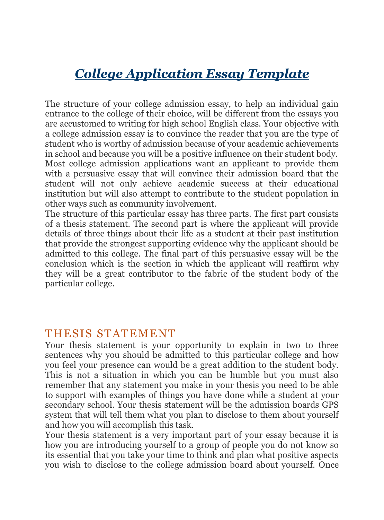## *College Application Essay Template*

The structure of your college admission essay, to help an individual gain entrance to the college of their choice, will be different from the essays you are accustomed to writing for high school English class. Your objective with a college admission essay is to convince the reader that you are the type of student who is worthy of admission because of your academic achievements in school and because you will be a positive influence on their student body. Most college admission applications want an applicant to provide them with a persuasive essay that will convince their admission board that the student will not only achieve academic success at their educational institution but will also attempt to contribute to the student population in other ways such as community involvement.

The structure of this particular essay has three parts. The first part consists of a thesis statement. The second part is where the applicant will provide details of three things about their life as a student at their past institution that provide the strongest supporting evidence why the applicant should be admitted to this college. The final part of this persuasive essay will be the conclusion which is the section in which the applicant will reaffirm why they will be a great contributor to the fabric of the student body of the particular college.

#### THESIS STATEMENT

Your thesis statement is your opportunity to explain in two to three sentences why you should be admitted to this particular college and how you feel your presence can would be a great addition to the student body. This is not a situation in which you can be humble but you must also remember that any statement you make in your thesis you need to be able to support with examples of things you have done while a student at your secondary school. Your thesis statement will be the admission boards GPS system that will tell them what you plan to disclose to them about yourself and how you will accomplish this task.

Your thesis statement is a very important part of your essay because it is how you are introducing yourself to a group of people you do not know so its essential that you take your time to think and plan what positive aspects you wish to disclose to the college admission board about yourself. Once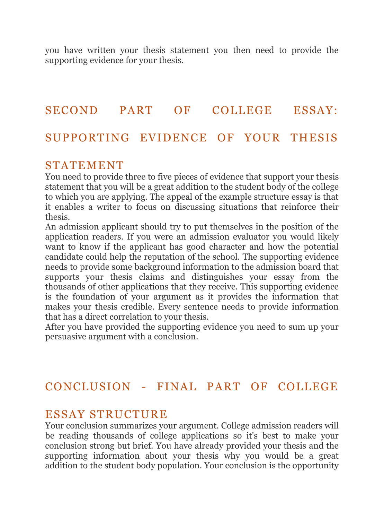you have written your thesis statement you then need to provide the supporting evidence for your thesis.

# SECOND PART OF COLLEGE ESSAY: SUPPORTING EVIDENCE OF YOUR THESIS

#### STATEMENT

You need to provide three to five pieces of evidence that support your thesis statement that you will be a great addition to the student body of the college to which you are applying. The appeal of the example structure essay is that it enables a writer to focus on discussing situations that reinforce their thesis.

An admission applicant should try to put themselves in the position of the application readers. If you were an admission evaluator you would likely want to know if the applicant has good character and how the potential candidate could help the reputation of the school. The supporting evidence needs to provide some background information to the admission board that supports your thesis claims and distinguishes your essay from the thousands of other applications that they receive. This supporting evidence is the foundation of your argument as it provides the information that makes your thesis credible. Every sentence needs to provide information that has a direct correlation to your thesis.

After you have provided the supporting evidence you need to sum up your persuasive argument with a conclusion.

### CONCLUSION - FINAL PART OF COLLEGE

#### ESSAY STRUCTURE

Your conclusion summarizes your argument. College admission readers will be reading thousands of college applications so it's best to make your conclusion strong but brief. You have already provided your thesis and the supporting information about your thesis why you would be a great addition to the student body population. Your conclusion is the opportunity